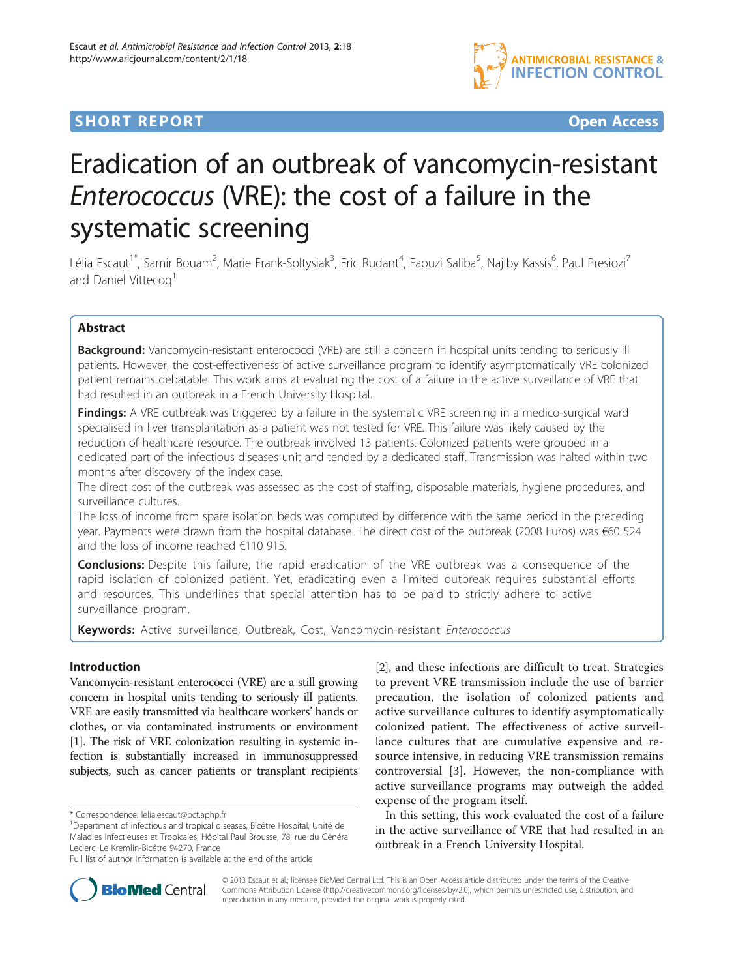



# Eradication of an outbreak of vancomycin-resistant Enterococcus (VRE): the cost of a failure in the systematic screening

Lélia Escaut<sup>1\*</sup>, Samir Bouam<sup>2</sup>, Marie Frank-Soltysiak<sup>3</sup>, Eric Rudant<sup>4</sup>, Faouzi Saliba<sup>5</sup>, Najiby Kassis<sup>6</sup>, Paul Presiozi<sup>7</sup> and Daniel Vittecog<sup>1</sup>

# Abstract

Background: Vancomycin-resistant enterococci (VRE) are still a concern in hospital units tending to seriously ill patients. However, the cost-effectiveness of active surveillance program to identify asymptomatically VRE colonized patient remains debatable. This work aims at evaluating the cost of a failure in the active surveillance of VRE that had resulted in an outbreak in a French University Hospital.

**Findings:** A VRE outbreak was triggered by a failure in the systematic VRE screening in a medico-surgical ward specialised in liver transplantation as a patient was not tested for VRE. This failure was likely caused by the reduction of healthcare resource. The outbreak involved 13 patients. Colonized patients were grouped in a dedicated part of the infectious diseases unit and tended by a dedicated staff. Transmission was halted within two months after discovery of the index case.

The direct cost of the outbreak was assessed as the cost of staffing, disposable materials, hygiene procedures, and surveillance cultures.

The loss of income from spare isolation beds was computed by difference with the same period in the preceding year. Payments were drawn from the hospital database. The direct cost of the outbreak (2008 Euros) was €60 524 and the loss of income reached €110 915.

Conclusions: Despite this failure, the rapid eradication of the VRE outbreak was a consequence of the rapid isolation of colonized patient. Yet, eradicating even a limited outbreak requires substantial efforts and resources. This underlines that special attention has to be paid to strictly adhere to active surveillance program.

Keywords: Active surveillance, Outbreak, Cost, Vancomycin-resistant Enterococcus

# Introduction

Vancomycin-resistant enterococci (VRE) are a still growing concern in hospital units tending to seriously ill patients. VRE are easily transmitted via healthcare workers' hands or clothes, or via contaminated instruments or environment [[1](#page-3-0)]. The risk of VRE colonization resulting in systemic infection is substantially increased in immunosuppressed subjects, such as cancer patients or transplant recipients

\* Correspondence: [lelia.escaut@bct.aphp.fr](mailto:lelia.escaut@bct.aphp.fr) <sup>1</sup>

[[2](#page-3-0)], and these infections are difficult to treat. Strategies to prevent VRE transmission include the use of barrier precaution, the isolation of colonized patients and active surveillance cultures to identify asymptomatically colonized patient. The effectiveness of active surveillance cultures that are cumulative expensive and resource intensive, in reducing VRE transmission remains controversial [[3\]](#page-3-0). However, the non-compliance with active surveillance programs may outweigh the added expense of the program itself.

In this setting, this work evaluated the cost of a failure in the active surveillance of VRE that had resulted in an outbreak in a French University Hospital.



© 2013 Escaut et al.; licensee BioMed Central Ltd. This is an Open Access article distributed under the terms of the Creative Commons Attribution License [\(http://creativecommons.org/licenses/by/2.0\)](http://creativecommons.org/licenses/by/2.0), which permits unrestricted use, distribution, and reproduction in any medium, provided the original work is properly cited.

<sup>&</sup>lt;sup>1</sup>Department of infectious and tropical diseases, Bicêtre Hospital, Unité de Maladies Infectieuses et Tropicales, Hôpital Paul Brousse, 78, rue du Général Leclerc, Le Kremlin-Bicêtre 94270, France

Full list of author information is available at the end of the article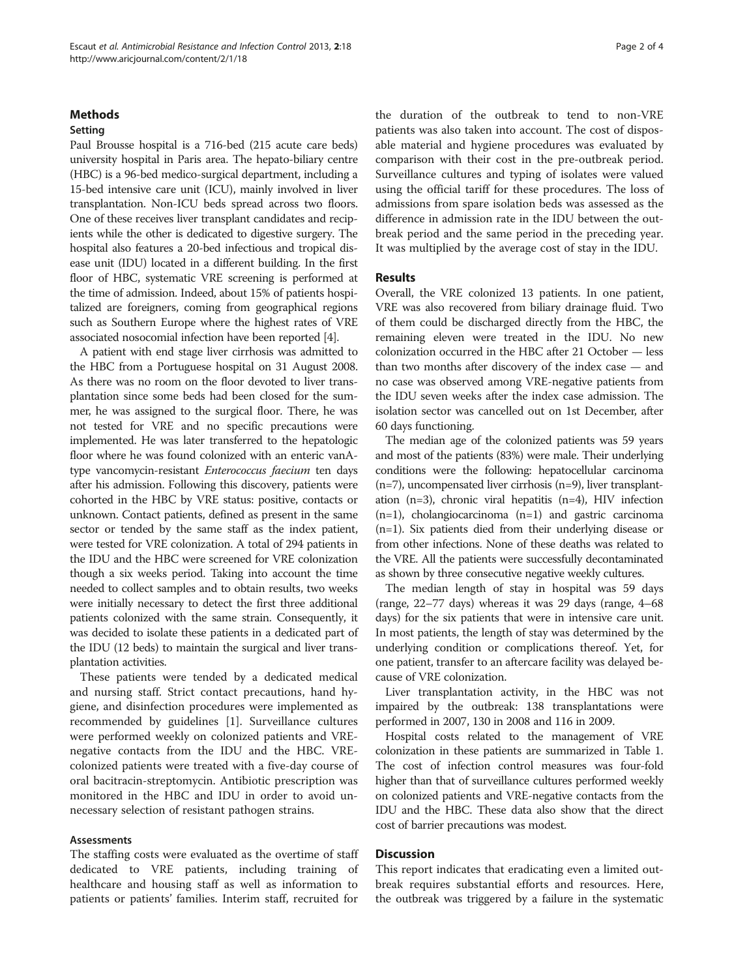## **Methods**

# Setting

Paul Brousse hospital is a 716-bed (215 acute care beds) university hospital in Paris area. The hepato-biliary centre (HBC) is a 96-bed medico-surgical department, including a 15-bed intensive care unit (ICU), mainly involved in liver transplantation. Non-ICU beds spread across two floors. One of these receives liver transplant candidates and recipients while the other is dedicated to digestive surgery. The hospital also features a 20-bed infectious and tropical disease unit (IDU) located in a different building. In the first floor of HBC, systematic VRE screening is performed at the time of admission. Indeed, about 15% of patients hospitalized are foreigners, coming from geographical regions such as Southern Europe where the highest rates of VRE associated nosocomial infection have been reported [\[4](#page-3-0)].

A patient with end stage liver cirrhosis was admitted to the HBC from a Portuguese hospital on 31 August 2008. As there was no room on the floor devoted to liver transplantation since some beds had been closed for the summer, he was assigned to the surgical floor. There, he was not tested for VRE and no specific precautions were implemented. He was later transferred to the hepatologic floor where he was found colonized with an enteric vanAtype vancomycin-resistant Enterococcus faecium ten days after his admission. Following this discovery, patients were cohorted in the HBC by VRE status: positive, contacts or unknown. Contact patients, defined as present in the same sector or tended by the same staff as the index patient, were tested for VRE colonization. A total of 294 patients in the IDU and the HBC were screened for VRE colonization though a six weeks period. Taking into account the time needed to collect samples and to obtain results, two weeks were initially necessary to detect the first three additional patients colonized with the same strain. Consequently, it was decided to isolate these patients in a dedicated part of the IDU (12 beds) to maintain the surgical and liver transplantation activities.

These patients were tended by a dedicated medical and nursing staff. Strict contact precautions, hand hygiene, and disinfection procedures were implemented as recommended by guidelines [\[1](#page-3-0)]. Surveillance cultures were performed weekly on colonized patients and VREnegative contacts from the IDU and the HBC. VREcolonized patients were treated with a five-day course of oral bacitracin-streptomycin. Antibiotic prescription was monitored in the HBC and IDU in order to avoid unnecessary selection of resistant pathogen strains.

## Assessments

The staffing costs were evaluated as the overtime of staff dedicated to VRE patients, including training of healthcare and housing staff as well as information to patients or patients' families. Interim staff, recruited for the duration of the outbreak to tend to non-VRE patients was also taken into account. The cost of disposable material and hygiene procedures was evaluated by comparison with their cost in the pre-outbreak period. Surveillance cultures and typing of isolates were valued using the official tariff for these procedures. The loss of admissions from spare isolation beds was assessed as the difference in admission rate in the IDU between the outbreak period and the same period in the preceding year. It was multiplied by the average cost of stay in the IDU.

## Results

Overall, the VRE colonized 13 patients. In one patient, VRE was also recovered from biliary drainage fluid. Two of them could be discharged directly from the HBC, the remaining eleven were treated in the IDU. No new colonization occurred in the HBC after 21 October — less than two months after discovery of the index case — and no case was observed among VRE-negative patients from the IDU seven weeks after the index case admission. The isolation sector was cancelled out on 1st December, after 60 days functioning.

The median age of the colonized patients was 59 years and most of the patients (83%) were male. Their underlying conditions were the following: hepatocellular carcinoma (n=7), uncompensated liver cirrhosis (n=9), liver transplantation (n=3), chronic viral hepatitis (n=4), HIV infection  $(n=1)$ , cholangiocarcinoma  $(n=1)$  and gastric carcinoma (n=1). Six patients died from their underlying disease or from other infections. None of these deaths was related to the VRE. All the patients were successfully decontaminated as shown by three consecutive negative weekly cultures.

The median length of stay in hospital was 59 days (range, 22–77 days) whereas it was 29 days (range, 4–68 days) for the six patients that were in intensive care unit. In most patients, the length of stay was determined by the underlying condition or complications thereof. Yet, for one patient, transfer to an aftercare facility was delayed because of VRE colonization.

Liver transplantation activity, in the HBC was not impaired by the outbreak: 138 transplantations were performed in 2007, 130 in 2008 and 116 in 2009.

Hospital costs related to the management of VRE colonization in these patients are summarized in Table [1](#page-2-0). The cost of infection control measures was four-fold higher than that of surveillance cultures performed weekly on colonized patients and VRE-negative contacts from the IDU and the HBC. These data also show that the direct cost of barrier precautions was modest.

## **Discussion**

This report indicates that eradicating even a limited outbreak requires substantial efforts and resources. Here, the outbreak was triggered by a failure in the systematic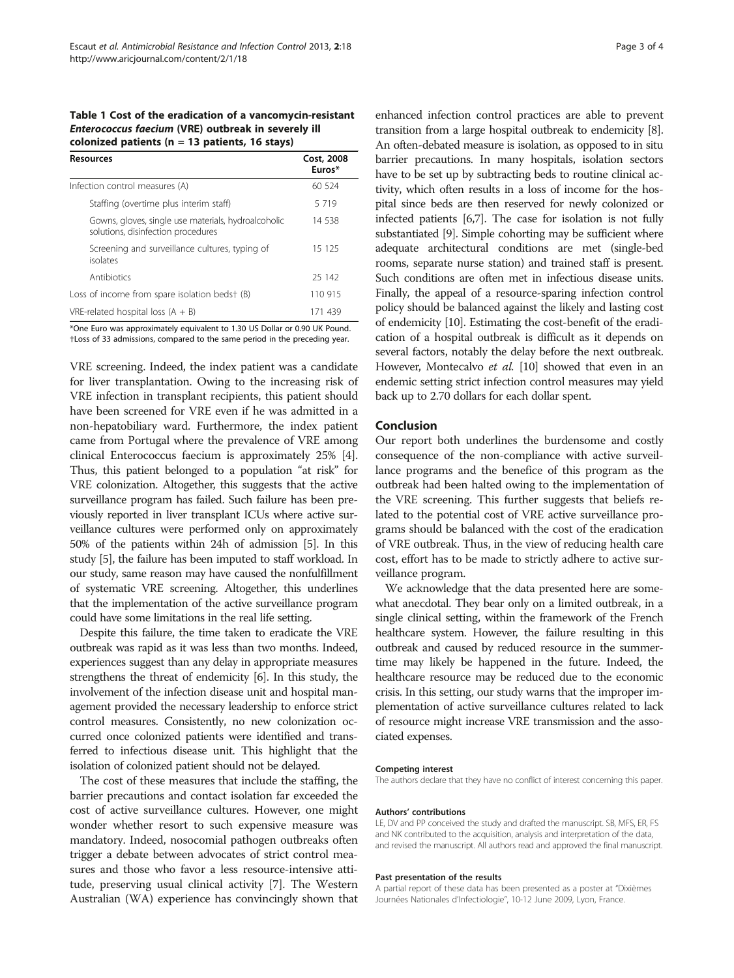<span id="page-2-0"></span>Table 1 Cost of the eradication of a vancomycin-resistant Enterococcus faecium (VRE) outbreak in severely ill colonized patients ( $n = 13$  patients, 16 stays)

| <b>Resources</b>                                                                          | Cost, 2008<br>Euros* |
|-------------------------------------------------------------------------------------------|----------------------|
| Infection control measures (A)                                                            | 60 524               |
| Staffing (overtime plus interim staff)                                                    | 5 7 1 9              |
| Gowns, gloves, single use materials, hydroalcoholic<br>solutions, disinfection procedures | 14 538               |
| Screening and surveillance cultures, typing of<br>isolates                                | 15 125               |
| Antibiotics                                                                               | 25 142               |
| Loss of income from spare isolation bedst (B)                                             | 110 915              |
| VRE-related hospital loss $(A + B)$                                                       | 171 439              |

\*One Euro was approximately equivalent to 1.30 US Dollar or 0.90 UK Pound. †Loss of 33 admissions, compared to the same period in the preceding year.

VRE screening. Indeed, the index patient was a candidate for liver transplantation. Owing to the increasing risk of VRE infection in transplant recipients, this patient should have been screened for VRE even if he was admitted in a non-hepatobiliary ward. Furthermore, the index patient came from Portugal where the prevalence of VRE among clinical Enterococcus faecium is approximately 25% [[4](#page-3-0)]. Thus, this patient belonged to a population "at risk" for VRE colonization. Altogether, this suggests that the active surveillance program has failed. Such failure has been previously reported in liver transplant ICUs where active surveillance cultures were performed only on approximately 50% of the patients within 24h of admission [\[5\]](#page-3-0). In this study [\[5](#page-3-0)], the failure has been imputed to staff workload. In our study, same reason may have caused the nonfulfillment of systematic VRE screening. Altogether, this underlines that the implementation of the active surveillance program could have some limitations in the real life setting.

Despite this failure, the time taken to eradicate the VRE outbreak was rapid as it was less than two months. Indeed, experiences suggest than any delay in appropriate measures strengthens the threat of endemicity [[6](#page-3-0)]. In this study, the involvement of the infection disease unit and hospital management provided the necessary leadership to enforce strict control measures. Consistently, no new colonization occurred once colonized patients were identified and transferred to infectious disease unit. This highlight that the isolation of colonized patient should not be delayed.

The cost of these measures that include the staffing, the barrier precautions and contact isolation far exceeded the cost of active surveillance cultures. However, one might wonder whether resort to such expensive measure was mandatory. Indeed, nosocomial pathogen outbreaks often trigger a debate between advocates of strict control measures and those who favor a less resource-intensive attitude, preserving usual clinical activity [\[7](#page-3-0)]. The Western Australian (WA) experience has convincingly shown that

enhanced infection control practices are able to prevent transition from a large hospital outbreak to endemicity [[8](#page-3-0)]. An often-debated measure is isolation, as opposed to in situ barrier precautions. In many hospitals, isolation sectors have to be set up by subtracting beds to routine clinical activity, which often results in a loss of income for the hospital since beds are then reserved for newly colonized or infected patients [\[6,7\]](#page-3-0). The case for isolation is not fully substantiated [\[9\]](#page-3-0). Simple cohorting may be sufficient where adequate architectural conditions are met (single-bed rooms, separate nurse station) and trained staff is present. Such conditions are often met in infectious disease units. Finally, the appeal of a resource-sparing infection control policy should be balanced against the likely and lasting cost of endemicity [[10](#page-3-0)]. Estimating the cost-benefit of the eradication of a hospital outbreak is difficult as it depends on several factors, notably the delay before the next outbreak. However, Montecalvo et al. [[10](#page-3-0)] showed that even in an endemic setting strict infection control measures may yield back up to 2.70 dollars for each dollar spent.

# Conclusion

Our report both underlines the burdensome and costly consequence of the non-compliance with active surveillance programs and the benefice of this program as the outbreak had been halted owing to the implementation of the VRE screening. This further suggests that beliefs related to the potential cost of VRE active surveillance programs should be balanced with the cost of the eradication of VRE outbreak. Thus, in the view of reducing health care cost, effort has to be made to strictly adhere to active surveillance program.

We acknowledge that the data presented here are somewhat anecdotal. They bear only on a limited outbreak, in a single clinical setting, within the framework of the French healthcare system. However, the failure resulting in this outbreak and caused by reduced resource in the summertime may likely be happened in the future. Indeed, the healthcare resource may be reduced due to the economic crisis. In this setting, our study warns that the improper implementation of active surveillance cultures related to lack of resource might increase VRE transmission and the associated expenses.

## Competing interest

The authors declare that they have no conflict of interest concerning this paper.

### Authors' contributions

LE, DV and PP conceived the study and drafted the manuscript. SB, MFS, ER, FS and NK contributed to the acquisition, analysis and interpretation of the data, and revised the manuscript. All authors read and approved the final manuscript.

#### Past presentation of the results

A partial report of these data has been presented as a poster at "Dixièmes Journées Nationales d'Infectiologie", 10-12 June 2009, Lyon, France.